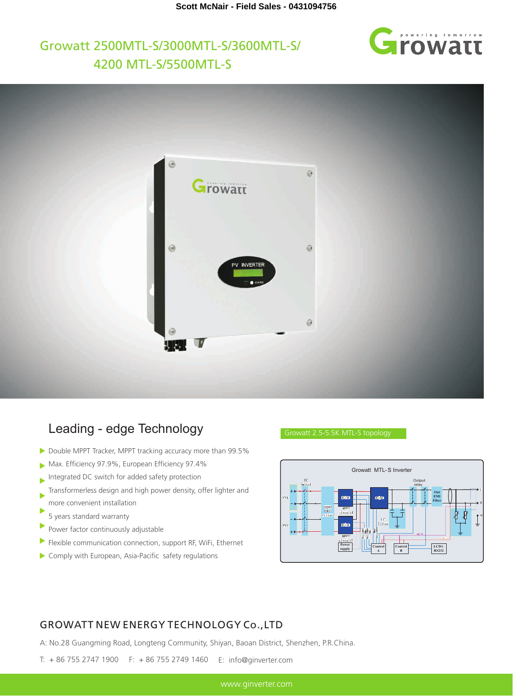# **E**rowatt

## Growatt 2500MTL-S/3000MTL-S/3600MTL-S/ 4200 MTL-S/5500MTL-S



### Leading - edge Technology

- Double MPPT Tracker, MPPT tracking accuracy more than 99.5%
- Max. Efficiency 97.9%, European Efficiency 97.4%
- Integrated DC switch for added safety protection
- Transformerless design and high power density, offer lighter and more convenient installation
- b 5 years standard warranty
- Þ Power factor continuously adjustable
- Flexible communication connection, support RF, WiFi, Ethernet ь
- Comply with European, Asia-Pacific safety regulations



#### GROWATT NEW ENERGY TECHNOLOGY Co.,LTD

A: No.28 Guangming Road, Longteng Community, Shiyan, Baoan District, Shenzhen, P.R.China.

T: + 86 755 2747 1900 F: + 86 755 2749 1460 E: info@ginverter.com